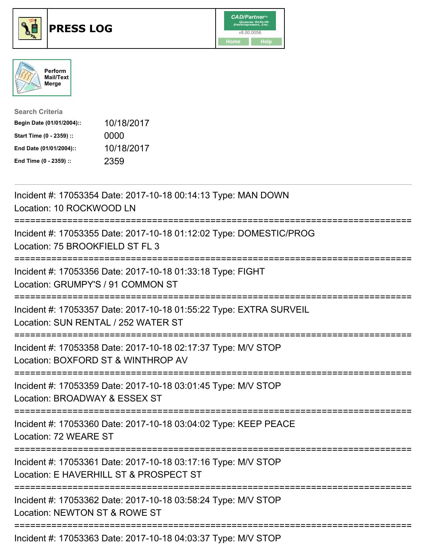

## **PRESS LOG** v8.00.0056





| <b>Search Criteria</b>    |            |
|---------------------------|------------|
| Begin Date (01/01/2004):: | 10/18/2017 |
| Start Time (0 - 2359) ::  | 0000       |
| End Date (01/01/2004)::   | 10/18/2017 |
| End Time (0 - 2359) ::    | 2359       |

Incident #: 17053354 Date: 2017-10-18 00:14:13 Type: MAN DOWN Location: 10 ROCKWOOD LN =========================================================================== Incident #: 17053355 Date: 2017-10-18 01:12:02 Type: DOMESTIC/PROG Location: 75 BROOKFIELD ST FL 3 =========================================================================== Incident #: 17053356 Date: 2017-10-18 01:33:18 Type: FIGHT Location: GRUMPY'S / 91 COMMON ST =========================================================================== Incident #: 17053357 Date: 2017-10-18 01:55:22 Type: EXTRA SURVEIL Location: SUN RENTAL / 252 WATER ST =========================================================================== Incident #: 17053358 Date: 2017-10-18 02:17:37 Type: M/V STOP Location: BOXFORD ST & WINTHROP AV =========================================================================== Incident #: 17053359 Date: 2017-10-18 03:01:45 Type: M/V STOP Location: BROADWAY & ESSEX ST =========================================================================== Incident #: 17053360 Date: 2017-10-18 03:04:02 Type: KEEP PEACE Location: 72 WEARE ST =========================================================================== Incident #: 17053361 Date: 2017-10-18 03:17:16 Type: M/V STOP Location: E HAVERHILL ST & PROSPECT ST =========================================================================== Incident #: 17053362 Date: 2017-10-18 03:58:24 Type: M/V STOP Location: NEWTON ST & ROWE ST =========================================================================== Incident #: 17053363 Date: 2017-10-18 04:03:37 Type: M/V STOP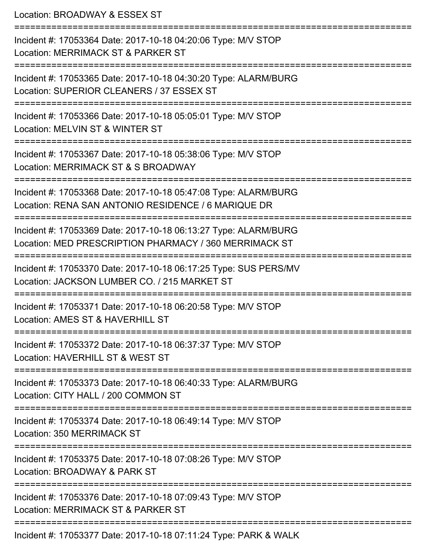Location: BROADWAY & ESSEX ST =========================================================================== Incident #: 17053364 Date: 2017-10-18 04:20:06 Type: M/V STOP Location: MERRIMACK ST & PARKER ST =========================================================================== Incident #: 17053365 Date: 2017-10-18 04:30:20 Type: ALARM/BURG Location: SUPERIOR CLEANERS / 37 ESSEX ST =========================================================================== Incident #: 17053366 Date: 2017-10-18 05:05:01 Type: M/V STOP Location: MELVIN ST & WINTER ST =========================================================================== Incident #: 17053367 Date: 2017-10-18 05:38:06 Type: M/V STOP Location: MERRIMACK ST & S BROADWAY =========================================================================== Incident #: 17053368 Date: 2017-10-18 05:47:08 Type: ALARM/BURG Location: RENA SAN ANTONIO RESIDENCE / 6 MARIQUE DR =========================================================================== Incident #: 17053369 Date: 2017-10-18 06:13:27 Type: ALARM/BURG Location: MED PRESCRIPTION PHARMACY / 360 MERRIMACK ST =========================================================================== Incident #: 17053370 Date: 2017-10-18 06:17:25 Type: SUS PERS/MV Location: JACKSON LUMBER CO. / 215 MARKET ST =========================================================================== Incident #: 17053371 Date: 2017-10-18 06:20:58 Type: M/V STOP Location: AMES ST & HAVERHILL ST =========================================================================== Incident #: 17053372 Date: 2017-10-18 06:37:37 Type: M/V STOP Location: HAVERHILL ST & WEST ST =========================================================================== Incident #: 17053373 Date: 2017-10-18 06:40:33 Type: ALARM/BURG Location: CITY HALL / 200 COMMON ST =========================================================================== Incident #: 17053374 Date: 2017-10-18 06:49:14 Type: M/V STOP Location: 350 MERRIMACK ST =========================================================================== Incident #: 17053375 Date: 2017-10-18 07:08:26 Type: M/V STOP Location: BROADWAY & PARK ST =========================================================================== Incident #: 17053376 Date: 2017-10-18 07:09:43 Type: M/V STOP Location: MERRIMACK ST & PARKER ST ===========================================================================

Incident #: 17053377 Date: 2017-10-18 07:11:24 Type: PARK & WALK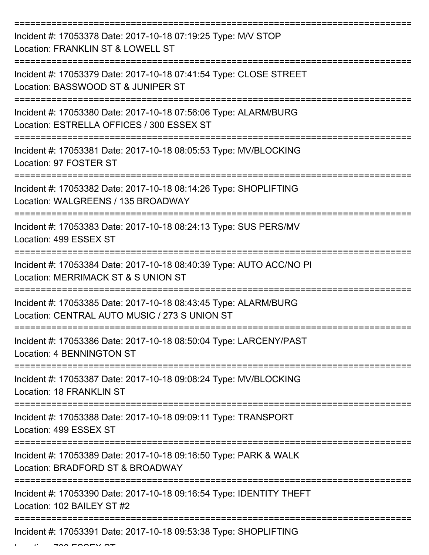| Incident #: 17053378 Date: 2017-10-18 07:19:25 Type: M/V STOP<br>Location: FRANKLIN ST & LOWELL ST                        |
|---------------------------------------------------------------------------------------------------------------------------|
| Incident #: 17053379 Date: 2017-10-18 07:41:54 Type: CLOSE STREET<br>Location: BASSWOOD ST & JUNIPER ST                   |
| Incident #: 17053380 Date: 2017-10-18 07:56:06 Type: ALARM/BURG<br>Location: ESTRELLA OFFICES / 300 ESSEX ST              |
| Incident #: 17053381 Date: 2017-10-18 08:05:53 Type: MV/BLOCKING<br>Location: 97 FOSTER ST                                |
| Incident #: 17053382 Date: 2017-10-18 08:14:26 Type: SHOPLIFTING<br>Location: WALGREENS / 135 BROADWAY<br>:============== |
| Incident #: 17053383 Date: 2017-10-18 08:24:13 Type: SUS PERS/MV<br>Location: 499 ESSEX ST                                |
| Incident #: 17053384 Date: 2017-10-18 08:40:39 Type: AUTO ACC/NO PI<br>Location: MERRIMACK ST & S UNION ST                |
| Incident #: 17053385 Date: 2017-10-18 08:43:45 Type: ALARM/BURG<br>Location: CENTRAL AUTO MUSIC / 273 S UNION ST          |
| Incident #: 17053386 Date: 2017-10-18 08:50:04 Type: LARCENY/PAST<br><b>Location: 4 BENNINGTON ST</b>                     |
| Incident #: 17053387 Date: 2017-10-18 09:08:24 Type: MV/BLOCKING<br><b>Location: 18 FRANKLIN ST</b>                       |
| Incident #: 17053388 Date: 2017-10-18 09:09:11 Type: TRANSPORT<br>Location: 499 ESSEX ST                                  |
| Incident #: 17053389 Date: 2017-10-18 09:16:50 Type: PARK & WALK<br>Location: BRADFORD ST & BROADWAY                      |
| Incident #: 17053390 Date: 2017-10-18 09:16:54 Type: IDENTITY THEFT<br>Location: 102 BAILEY ST #2                         |
| Incident #: 17053391 Date: 2017-10-18 09:53:38 Type: SHOPLIFTING                                                          |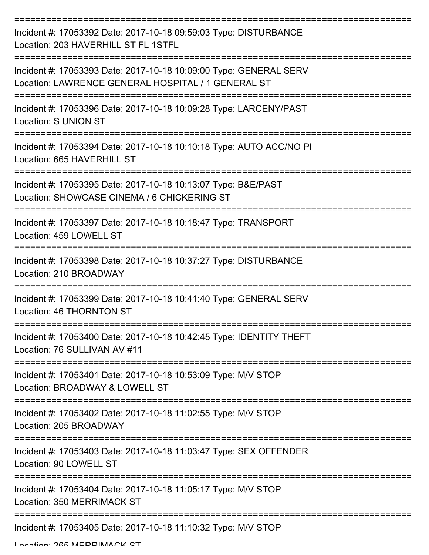| Incident #: 17053392 Date: 2017-10-18 09:59:03 Type: DISTURBANCE<br>Location: 203 HAVERHILL ST FL 1STFL                 |
|-------------------------------------------------------------------------------------------------------------------------|
| Incident #: 17053393 Date: 2017-10-18 10:09:00 Type: GENERAL SERV<br>Location: LAWRENCE GENERAL HOSPITAL / 1 GENERAL ST |
| Incident #: 17053396 Date: 2017-10-18 10:09:28 Type: LARCENY/PAST<br><b>Location: S UNION ST</b>                        |
| Incident #: 17053394 Date: 2017-10-18 10:10:18 Type: AUTO ACC/NO PI<br>Location: 665 HAVERHILL ST                       |
| Incident #: 17053395 Date: 2017-10-18 10:13:07 Type: B&E/PAST<br>Location: SHOWCASE CINEMA / 6 CHICKERING ST            |
| Incident #: 17053397 Date: 2017-10-18 10:18:47 Type: TRANSPORT<br>Location: 459 LOWELL ST                               |
| Incident #: 17053398 Date: 2017-10-18 10:37:27 Type: DISTURBANCE<br>Location: 210 BROADWAY                              |
| Incident #: 17053399 Date: 2017-10-18 10:41:40 Type: GENERAL SERV<br>Location: 46 THORNTON ST                           |
| Incident #: 17053400 Date: 2017-10-18 10:42:45 Type: IDENTITY THEFT<br>Location: 76 SULLIVAN AV #11                     |
| Incident #: 17053401 Date: 2017-10-18 10:53:09 Type: M/V STOP<br>Location: BROADWAY & LOWELL ST                         |
| Incident #: 17053402 Date: 2017-10-18 11:02:55 Type: M/V STOP<br>Location: 205 BROADWAY                                 |
| Incident #: 17053403 Date: 2017-10-18 11:03:47 Type: SEX OFFENDER<br>Location: 90 LOWELL ST                             |
| Incident #: 17053404 Date: 2017-10-18 11:05:17 Type: M/V STOP<br>Location: 350 MERRIMACK ST                             |
| Incident #: 17053405 Date: 2017-10-18 11:10:32 Type: M/V STOP                                                           |

Location: 265 MEDDIMACK ST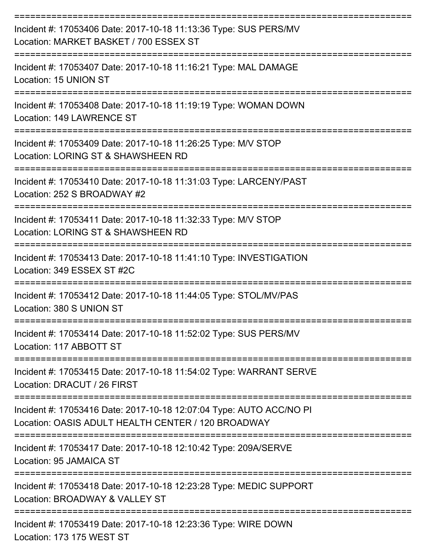| Incident #: 17053406 Date: 2017-10-18 11:13:36 Type: SUS PERS/MV<br>Location: MARKET BASKET / 700 ESSEX ST                |
|---------------------------------------------------------------------------------------------------------------------------|
| Incident #: 17053407 Date: 2017-10-18 11:16:21 Type: MAL DAMAGE<br>Location: 15 UNION ST                                  |
| Incident #: 17053408 Date: 2017-10-18 11:19:19 Type: WOMAN DOWN<br>Location: 149 LAWRENCE ST                              |
| Incident #: 17053409 Date: 2017-10-18 11:26:25 Type: M/V STOP<br>Location: LORING ST & SHAWSHEEN RD                       |
| Incident #: 17053410 Date: 2017-10-18 11:31:03 Type: LARCENY/PAST<br>Location: 252 S BROADWAY #2                          |
| Incident #: 17053411 Date: 2017-10-18 11:32:33 Type: M/V STOP<br>Location: LORING ST & SHAWSHEEN RD                       |
| Incident #: 17053413 Date: 2017-10-18 11:41:10 Type: INVESTIGATION<br>Location: 349 ESSEX ST #2C                          |
| Incident #: 17053412 Date: 2017-10-18 11:44:05 Type: STOL/MV/PAS<br>Location: 380 S UNION ST                              |
| Incident #: 17053414 Date: 2017-10-18 11:52:02 Type: SUS PERS/MV<br>Location: 117 ABBOTT ST                               |
| Incident #: 17053415 Date: 2017-10-18 11:54:02 Type: WARRANT SERVE<br>Location: DRACUT / 26 FIRST                         |
| Incident #: 17053416 Date: 2017-10-18 12:07:04 Type: AUTO ACC/NO PI<br>Location: OASIS ADULT HEALTH CENTER / 120 BROADWAY |
| Incident #: 17053417 Date: 2017-10-18 12:10:42 Type: 209A/SERVE<br>Location: 95 JAMAICA ST                                |
| Incident #: 17053418 Date: 2017-10-18 12:23:28 Type: MEDIC SUPPORT<br>Location: BROADWAY & VALLEY ST                      |
| -----------------------------------<br>Incident #: 17053419 Date: 2017-10-18 12:23:36 Type: WIRE DOWN                     |

Location: 173 175 WEST ST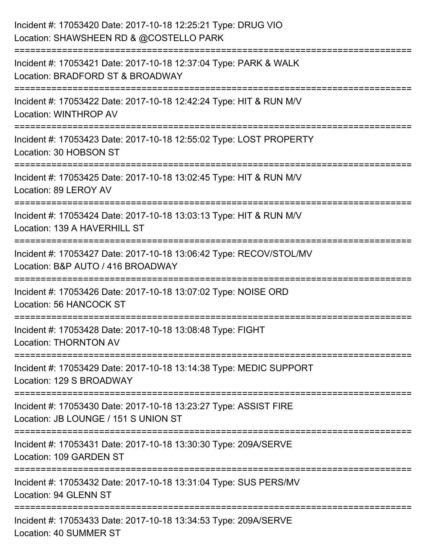| Incident #: 17053420 Date: 2017-10-18 12:25:21 Type: DRUG VIO<br>Location: SHAWSHEEN RD & @COSTELLO PARK |
|----------------------------------------------------------------------------------------------------------|
| Incident #: 17053421 Date: 2017-10-18 12:37:04 Type: PARK & WALK<br>Location: BRADFORD ST & BROADWAY     |
| Incident #: 17053422 Date: 2017-10-18 12:42:24 Type: HIT & RUN M/V<br><b>Location: WINTHROP AV</b>       |
| Incident #: 17053423 Date: 2017-10-18 12:55:02 Type: LOST PROPERTY<br>Location: 30 HOBSON ST             |
| Incident #: 17053425 Date: 2017-10-18 13:02:45 Type: HIT & RUN M/V<br>Location: 89 LEROY AV              |
| Incident #: 17053424 Date: 2017-10-18 13:03:13 Type: HIT & RUN M/V<br>Location: 139 A HAVERHILL ST       |
| Incident #: 17053427 Date: 2017-10-18 13:06:42 Type: RECOV/STOL/MV<br>Location: B&P AUTO / 416 BROADWAY  |
| Incident #: 17053426 Date: 2017-10-18 13:07:02 Type: NOISE ORD<br><b>Location: 56 HANCOCK ST</b>         |
| Incident #: 17053428 Date: 2017-10-18 13:08:48 Type: FIGHT<br><b>Location: THORNTON AV</b>               |
| Incident #: 17053429 Date: 2017-10-18 13:14:38 Type: MEDIC SUPPORT<br>Location: 129 S BROADWAY           |
| Incident #: 17053430 Date: 2017-10-18 13:23:27 Type: ASSIST FIRE<br>Location: JB LOUNGE / 151 S UNION ST |
| Incident #: 17053431 Date: 2017-10-18 13:30:30 Type: 209A/SERVE<br>Location: 109 GARDEN ST               |
| Incident #: 17053432 Date: 2017-10-18 13:31:04 Type: SUS PERS/MV<br>Location: 94 GLENN ST                |
| Incident #: 17053433 Date: 2017-10-18 13:34:53 Type: 209A/SERVE<br>Location: 40 SUMMER ST                |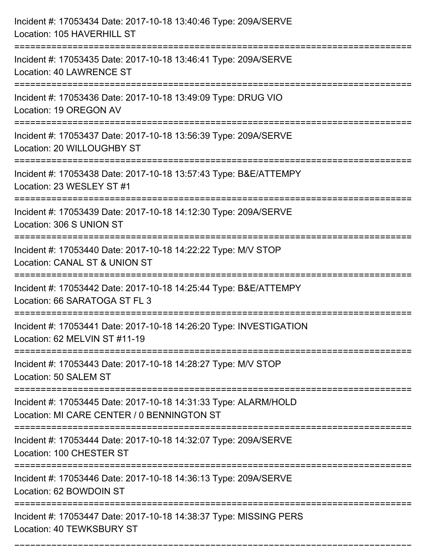| Incident #: 17053434 Date: 2017-10-18 13:40:46 Type: 209A/SERVE<br>Location: 105 HAVERHILL ST                                   |
|---------------------------------------------------------------------------------------------------------------------------------|
| Incident #: 17053435 Date: 2017-10-18 13:46:41 Type: 209A/SERVE<br><b>Location: 40 LAWRENCE ST</b>                              |
| Incident #: 17053436 Date: 2017-10-18 13:49:09 Type: DRUG VIO<br>Location: 19 OREGON AV<br>:=================================== |
| Incident #: 17053437 Date: 2017-10-18 13:56:39 Type: 209A/SERVE<br>Location: 20 WILLOUGHBY ST                                   |
| Incident #: 17053438 Date: 2017-10-18 13:57:43 Type: B&E/ATTEMPY<br>Location: 23 WESLEY ST #1                                   |
| Incident #: 17053439 Date: 2017-10-18 14:12:30 Type: 209A/SERVE<br>Location: 306 S UNION ST                                     |
| Incident #: 17053440 Date: 2017-10-18 14:22:22 Type: M/V STOP<br>Location: CANAL ST & UNION ST                                  |
| Incident #: 17053442 Date: 2017-10-18 14:25:44 Type: B&E/ATTEMPY<br>Location: 66 SARATOGA ST FL 3                               |
| Incident #: 17053441 Date: 2017-10-18 14:26:20 Type: INVESTIGATION<br>Location: 62 MELVIN ST #11-19                             |
| Incident #: 17053443 Date: 2017-10-18 14:28:27 Type: M/V STOP<br>Location: 50 SALEM ST<br>:==================================   |
| Incident #: 17053445 Date: 2017-10-18 14:31:33 Type: ALARM/HOLD<br>Location: MI CARE CENTER / 0 BENNINGTON ST                   |
| Incident #: 17053444 Date: 2017-10-18 14:32:07 Type: 209A/SERVE<br>Location: 100 CHESTER ST                                     |
| Incident #: 17053446 Date: 2017-10-18 14:36:13 Type: 209A/SERVE<br>Location: 62 BOWDOIN ST                                      |
| Incident #: 17053447 Date: 2017-10-18 14:38:37 Type: MISSING PERS<br>Location: 40 TEWKSBURY ST                                  |

===========================================================================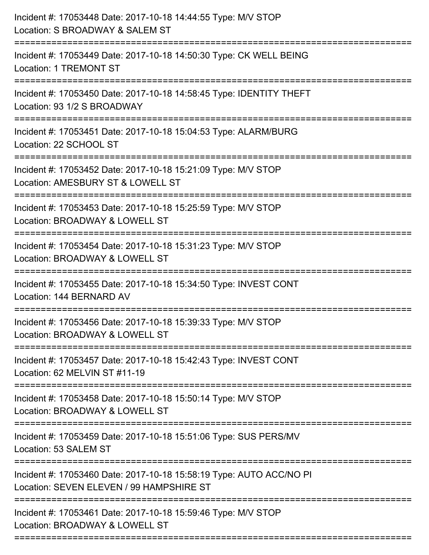| Incident #: 17053448 Date: 2017-10-18 14:44:55 Type: M/V STOP<br>Location: S BROADWAY & SALEM ST                                                                  |
|-------------------------------------------------------------------------------------------------------------------------------------------------------------------|
| =======================<br>Incident #: 17053449 Date: 2017-10-18 14:50:30 Type: CK WELL BEING<br><b>Location: 1 TREMONT ST</b>                                    |
| Incident #: 17053450 Date: 2017-10-18 14:58:45 Type: IDENTITY THEFT<br>Location: 93 1/2 S BROADWAY<br>===================================<br>-------------------  |
| Incident #: 17053451 Date: 2017-10-18 15:04:53 Type: ALARM/BURG<br>Location: 22 SCHOOL ST                                                                         |
| Incident #: 17053452 Date: 2017-10-18 15:21:09 Type: M/V STOP<br>Location: AMESBURY ST & LOWELL ST<br>------------------                                          |
| Incident #: 17053453 Date: 2017-10-18 15:25:59 Type: M/V STOP<br>Location: BROADWAY & LOWELL ST                                                                   |
| Incident #: 17053454 Date: 2017-10-18 15:31:23 Type: M/V STOP<br>Location: BROADWAY & LOWELL ST                                                                   |
| Incident #: 17053455 Date: 2017-10-18 15:34:50 Type: INVEST CONT<br>Location: 144 BERNARD AV                                                                      |
| Incident #: 17053456 Date: 2017-10-18 15:39:33 Type: M/V STOP<br>Location: BROADWAY & LOWELL ST                                                                   |
| Incident #: 17053457 Date: 2017-10-18 15:42:43 Type: INVEST CONT<br>Location: 62 MELVIN ST #11-19                                                                 |
| Incident #: 17053458 Date: 2017-10-18 15:50:14 Type: M/V STOP<br>Location: BROADWAY & LOWELL ST                                                                   |
| Incident #: 17053459 Date: 2017-10-18 15:51:06 Type: SUS PERS/MV<br>Location: 53 SALEM ST                                                                         |
| Incident #: 17053460 Date: 2017-10-18 15:58:19 Type: AUTO ACC/NO PI<br>Location: SEVEN ELEVEN / 99 HAMPSHIRE ST                                                   |
| -------------------------------<br>---------------------------<br>Incident #: 17053461 Date: 2017-10-18 15:59:46 Type: M/V STOP<br>Location: BROADWAY & LOWELL ST |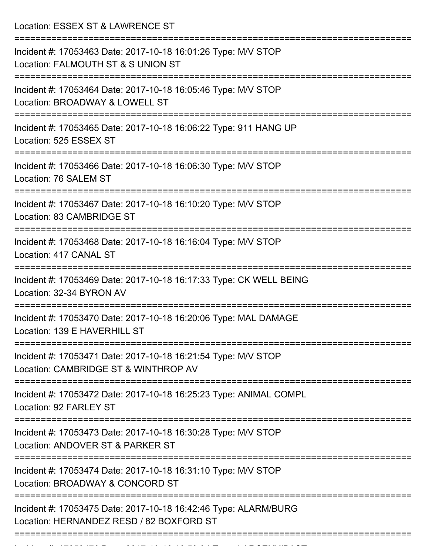Location: ESSEX ST & LAWRENCE ST =========================================================================== Incident #: 17053463 Date: 2017-10-18 16:01:26 Type: M/V STOP Location: FALMOUTH ST & S UNION ST =========================================================================== Incident #: 17053464 Date: 2017-10-18 16:05:46 Type: M/V STOP Location: BROADWAY & LOWELL ST =========================================================================== Incident #: 17053465 Date: 2017-10-18 16:06:22 Type: 911 HANG UP Location: 525 ESSEX ST =========================================================================== Incident #: 17053466 Date: 2017-10-18 16:06:30 Type: M/V STOP Location: 76 SALEM ST =========================================================================== Incident #: 17053467 Date: 2017-10-18 16:10:20 Type: M/V STOP Location: 83 CAMBRIDGE ST =========================================================================== Incident #: 17053468 Date: 2017-10-18 16:16:04 Type: M/V STOP Location: 417 CANAL ST =========================================================================== Incident #: 17053469 Date: 2017-10-18 16:17:33 Type: CK WELL BEING Location: 32-34 BYRON AV =========================================================================== Incident #: 17053470 Date: 2017-10-18 16:20:06 Type: MAL DAMAGE Location: 139 E HAVERHILL ST =========================================================================== Incident #: 17053471 Date: 2017-10-18 16:21:54 Type: M/V STOP Location: CAMBRIDGE ST & WINTHROP AV =========================================================================== Incident #: 17053472 Date: 2017-10-18 16:25:23 Type: ANIMAL COMPL Location: 92 FARLEY ST =========================================================================== Incident #: 17053473 Date: 2017-10-18 16:30:28 Type: M/V STOP Location: ANDOVER ST & PARKER ST =========================================================================== Incident #: 17053474 Date: 2017-10-18 16:31:10 Type: M/V STOP Location: BROADWAY & CONCORD ST =========================================================================== Incident #: 17053475 Date: 2017-10-18 16:42:46 Type: ALARM/BURG Location: HERNANDEZ RESD / 82 BOXFORD ST ===========================================================================

Incident #: 170534 Date: 2017 10 18 16:53:34 Type: 2017 10 18 16:53:34 Type: 2017 10 18 16:53:34 Type: 2017 10<br>.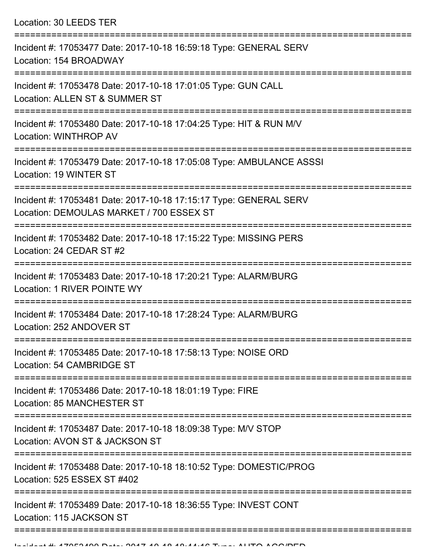Location: 30 LEEDS TER

| Incident #: 17053477 Date: 2017-10-18 16:59:18 Type: GENERAL SERV<br>Location: 154 BROADWAY                                       |
|-----------------------------------------------------------------------------------------------------------------------------------|
| Incident #: 17053478 Date: 2017-10-18 17:01:05 Type: GUN CALL<br>Location: ALLEN ST & SUMMER ST                                   |
| Incident #: 17053480 Date: 2017-10-18 17:04:25 Type: HIT & RUN M/V<br>Location: WINTHROP AV                                       |
| Incident #: 17053479 Date: 2017-10-18 17:05:08 Type: AMBULANCE ASSSI<br>Location: 19 WINTER ST                                    |
| Incident #: 17053481 Date: 2017-10-18 17:15:17 Type: GENERAL SERV<br>Location: DEMOULAS MARKET / 700 ESSEX ST                     |
| Incident #: 17053482 Date: 2017-10-18 17:15:22 Type: MISSING PERS<br>Location: 24 CEDAR ST #2                                     |
| Incident #: 17053483 Date: 2017-10-18 17:20:21 Type: ALARM/BURG<br>Location: 1 RIVER POINTE WY                                    |
| Incident #: 17053484 Date: 2017-10-18 17:28:24 Type: ALARM/BURG<br>Location: 252 ANDOVER ST                                       |
| Incident #: 17053485 Date: 2017-10-18 17:58:13 Type: NOISE ORD<br>Location: 54 CAMBRIDGE ST                                       |
| Incident #: 17053486 Date: 2017-10-18 18:01:19 Type: FIRE<br><b>Location: 85 MANCHESTER ST</b>                                    |
| ==============================<br>Incident #: 17053487 Date: 2017-10-18 18:09:38 Type: M/V STOP<br>Location: AVON ST & JACKSON ST |
| Incident #: 17053488 Date: 2017-10-18 18:10:52 Type: DOMESTIC/PROG<br>Location: 525 ESSEX ST #402                                 |
| Incident #: 17053489 Date: 2017-10-18 18:36:55 Type: INVEST CONT<br>Location: 115 JACKSON ST                                      |
|                                                                                                                                   |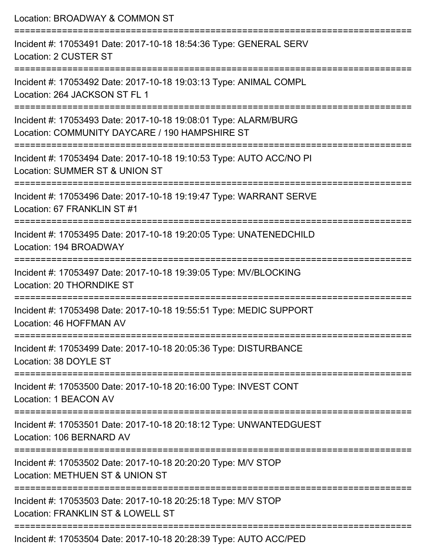| Location: BROADWAY & COMMON ST                                                                                                            |
|-------------------------------------------------------------------------------------------------------------------------------------------|
| Incident #: 17053491 Date: 2017-10-18 18:54:36 Type: GENERAL SERV<br>Location: 2 CUSTER ST                                                |
| ===================================<br>Incident #: 17053492 Date: 2017-10-18 19:03:13 Type: ANIMAL COMPL<br>Location: 264 JACKSON ST FL 1 |
| Incident #: 17053493 Date: 2017-10-18 19:08:01 Type: ALARM/BURG<br>Location: COMMUNITY DAYCARE / 190 HAMPSHIRE ST                         |
| Incident #: 17053494 Date: 2017-10-18 19:10:53 Type: AUTO ACC/NO PI<br>Location: SUMMER ST & UNION ST                                     |
| Incident #: 17053496 Date: 2017-10-18 19:19:47 Type: WARRANT SERVE<br>Location: 67 FRANKLIN ST #1                                         |
| Incident #: 17053495 Date: 2017-10-18 19:20:05 Type: UNATENEDCHILD<br>Location: 194 BROADWAY                                              |
| Incident #: 17053497 Date: 2017-10-18 19:39:05 Type: MV/BLOCKING<br>Location: 20 THORNDIKE ST                                             |
| Incident #: 17053498 Date: 2017-10-18 19:55:51 Type: MEDIC SUPPORT<br>Location: 46 HOFFMAN AV                                             |
| Incident #: 17053499 Date: 2017-10-18 20:05:36 Type: DISTURBANCE<br>Location: 38 DOYLE ST                                                 |
| Incident #: 17053500 Date: 2017-10-18 20:16:00 Type: INVEST CONT<br>Location: 1 BEACON AV                                                 |
| Incident #: 17053501 Date: 2017-10-18 20:18:12 Type: UNWANTEDGUEST<br>Location: 106 BERNARD AV                                            |
| Incident #: 17053502 Date: 2017-10-18 20:20:20 Type: M/V STOP<br>Location: METHUEN ST & UNION ST                                          |
| Incident #: 17053503 Date: 2017-10-18 20:25:18 Type: M/V STOP<br>Location: FRANKLIN ST & LOWELL ST                                        |
| Incident #: 17053504 Date: 2017-10-18 20:28:39 Type: AUTO ACC/PED                                                                         |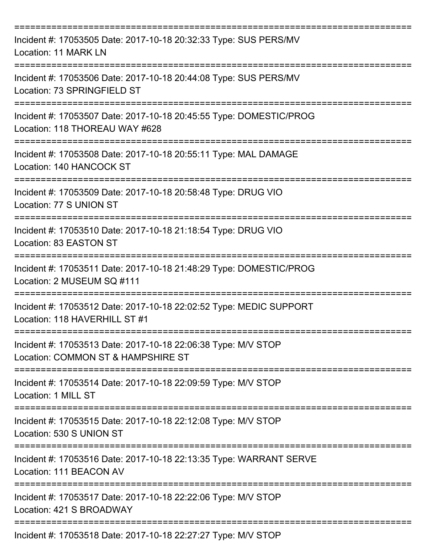| Incident #: 17053505 Date: 2017-10-18 20:32:33 Type: SUS PERS/MV<br>Location: 11 MARK LN             |
|------------------------------------------------------------------------------------------------------|
| Incident #: 17053506 Date: 2017-10-18 20:44:08 Type: SUS PERS/MV<br>Location: 73 SPRINGFIELD ST      |
| Incident #: 17053507 Date: 2017-10-18 20:45:55 Type: DOMESTIC/PROG<br>Location: 118 THOREAU WAY #628 |
| Incident #: 17053508 Date: 2017-10-18 20:55:11 Type: MAL DAMAGE<br>Location: 140 HANCOCK ST          |
| Incident #: 17053509 Date: 2017-10-18 20:58:48 Type: DRUG VIO<br>Location: 77 S UNION ST             |
| Incident #: 17053510 Date: 2017-10-18 21:18:54 Type: DRUG VIO<br>Location: 83 EASTON ST              |
| Incident #: 17053511 Date: 2017-10-18 21:48:29 Type: DOMESTIC/PROG<br>Location: 2 MUSEUM SQ #111     |
| Incident #: 17053512 Date: 2017-10-18 22:02:52 Type: MEDIC SUPPORT<br>Location: 118 HAVERHILL ST #1  |
| Incident #: 17053513 Date: 2017-10-18 22:06:38 Type: M/V STOP<br>Location: COMMON ST & HAMPSHIRE ST  |
| Incident #: 17053514 Date: 2017-10-18 22:09:59 Type: M/V STOP<br>Location: 1 MILL ST                 |
| Incident #: 17053515 Date: 2017-10-18 22:12:08 Type: M/V STOP<br>Location: 530 S UNION ST            |
| Incident #: 17053516 Date: 2017-10-18 22:13:35 Type: WARRANT SERVE<br>Location: 111 BEACON AV        |
| Incident #: 17053517 Date: 2017-10-18 22:22:06 Type: M/V STOP<br>Location: 421 S BROADWAY            |
| Incident #: 17053518 Date: 2017-10-18 22:27:27 Type: M/V STOP                                        |